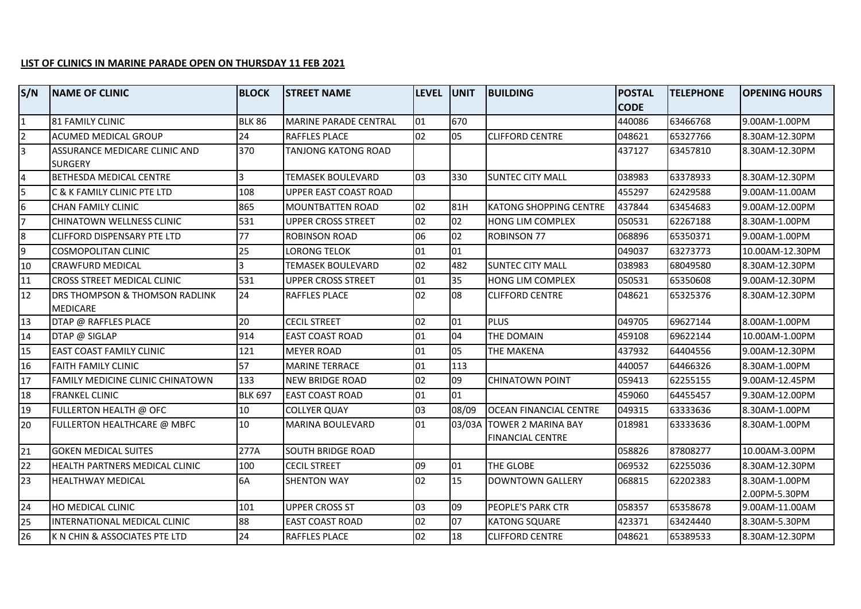## **LIST OF CLINICS IN MARINE PARADE OPEN ON THURSDAY 11 FEB 2021**

| S/N                     | <b>NAME OF CLINIC</b>                                        | <b>BLOCK</b>   | <b>STREET NAME</b>           | <b>LEVEL</b> | <b>UNIT</b> | <b>BUILDING</b>                                      | <b>POSTAL</b> | <b>TELEPHONE</b> | <b>OPENING HOURS</b>           |
|-------------------------|--------------------------------------------------------------|----------------|------------------------------|--------------|-------------|------------------------------------------------------|---------------|------------------|--------------------------------|
|                         |                                                              |                |                              |              |             |                                                      | <b>CODE</b>   |                  |                                |
| $\overline{\mathbf{1}}$ | <b>81 FAMILY CLINIC</b>                                      | <b>BLK 86</b>  | <b>MARINE PARADE CENTRAL</b> | 01           | 670         |                                                      | 440086        | 63466768         | 9.00AM-1.00PM                  |
| $\overline{2}$          | <b>ACUMED MEDICAL GROUP</b>                                  | 24             | <b>RAFFLES PLACE</b>         | 02           | 05          | <b>CLIFFORD CENTRE</b>                               | 048621        | 65327766         | 8.30AM-12.30PM                 |
| $\overline{3}$          | ASSURANCE MEDICARE CLINIC AND<br>ISURGERY                    | 370            | <b>TANJONG KATONG ROAD</b>   |              |             |                                                      | 437127        | 63457810         | 8.30AM-12.30PM                 |
| $\overline{\mathbf{r}}$ | <b>BETHESDA MEDICAL CENTRE</b>                               | 3              | <b>TEMASEK BOULEVARD</b>     | 03           | 330         | <b>SUNTEC CITY MALL</b>                              | 038983        | 63378933         | 8.30AM-12.30PM                 |
| 5                       | C & K FAMILY CLINIC PTE LTD                                  | 108            | UPPER EAST COAST ROAD        |              |             |                                                      | 455297        | 62429588         | 9.00AM-11.00AM                 |
| $\mathsf{I}_6$          | <b>CHAN FAMILY CLINIC</b>                                    | 865            | <b>MOUNTBATTEN ROAD</b>      | 02           | 81H         | <b>KATONG SHOPPING CENTRE</b>                        | 437844        | 63454683         | 9.00AM-12.00PM                 |
| $\overline{7}$          | CHINATOWN WELLNESS CLINIC                                    | 531            | <b>UPPER CROSS STREET</b>    | 02           | 02          | HONG LIM COMPLEX                                     | 050531        | 62267188         | 8.30AM-1.00PM                  |
| 8                       | <b>ICLIFFORD DISPENSARY PTE LTD</b>                          | 77             | <b>ROBINSON ROAD</b>         | 06           | 02          | <b>ROBINSON 77</b>                                   | 068896        | 65350371         | 9.00AM-1.00PM                  |
| $\overline{9}$          | <b>COSMOPOLITAN CLINIC</b>                                   | 25             | LORONG TELOK                 | 01           | 01          |                                                      | 049037        | 63273773         | 10.00AM-12.30PM                |
| 10                      | <b>CRAWFURD MEDICAL</b>                                      | ς              | <b>TEMASEK BOULEVARD</b>     | 02           | 482         | <b>SUNTEC CITY MALL</b>                              | 038983        | 68049580         | 8.30AM-12.30PM                 |
| 11                      | <b>CROSS STREET MEDICAL CLINIC</b>                           | 531            | <b>UPPER CROSS STREET</b>    | 01           | 35          | HONG LIM COMPLEX                                     | 050531        | 65350608         | 9.00AM-12.30PM                 |
| 12                      | <b>DRS THOMPSON &amp; THOMSON RADLINK</b><br><b>MEDICARE</b> | 24             | <b>RAFFLES PLACE</b>         | 02           | 08          | <b>CLIFFORD CENTRE</b>                               | 048621        | 65325376         | 8.30AM-12.30PM                 |
| 13                      | DTAP @ RAFFLES PLACE                                         | 20             | <b>CECIL STREET</b>          | 02           | 01          | <b>PLUS</b>                                          | 049705        | 69627144         | 8.00AM-1.00PM                  |
| 14                      | DTAP @ SIGLAP                                                | 914            | <b>EAST COAST ROAD</b>       | 01           | 04          | THE DOMAIN                                           | 459108        | 69622144         | 10.00AM-1.00PM                 |
| 15                      | <b>EAST COAST FAMILY CLINIC</b>                              | 121            | <b>MEYER ROAD</b>            | 01           | 05          | THE MAKENA                                           | 437932        | 64404556         | 9.00AM-12.30PM                 |
| 16                      | <b>FAITH FAMILY CLINIC</b>                                   | 57             | <b>MARINE TERRACE</b>        | 01           | 113         |                                                      | 440057        | 64466326         | 8.30AM-1.00PM                  |
| 17                      | FAMILY MEDICINE CLINIC CHINATOWN                             | 133            | <b>NEW BRIDGE ROAD</b>       | 02           | 09          | <b>CHINATOWN POINT</b>                               | 059413        | 62255155         | 9.00AM-12.45PM                 |
| 18                      | <b>FRANKEL CLINIC</b>                                        | <b>BLK 697</b> | <b>EAST COAST ROAD</b>       | 01           | 01          |                                                      | 459060        | 64455457         | 9.30AM-12.00PM                 |
| 19                      | FULLERTON HEALTH @ OFC                                       | 10             | <b>COLLYER QUAY</b>          | 03           | 08/09       | <b>OCEAN FINANCIAL CENTRE</b>                        | 049315        | 63333636         | 8.30AM-1.00PM                  |
| 20                      | FULLERTON HEALTHCARE @ MBFC                                  | 10             | <b>MARINA BOULEVARD</b>      | 01           | 03/03A      | <b>TOWER 2 MARINA BAY</b><br><b>FINANCIAL CENTRE</b> | 018981        | 63333636         | 8.30AM-1.00PM                  |
| 21                      | <b>GOKEN MEDICAL SUITES</b>                                  | 277A           | <b>SOUTH BRIDGE ROAD</b>     |              |             |                                                      | 058826        | 87808277         | 10.00AM-3.00PM                 |
| 22                      | <b>HEALTH PARTNERS MEDICAL CLINIC</b>                        | 100            | <b>CECIL STREET</b>          | 09           | 01          | THE GLOBE                                            | 069532        | 62255036         | 8.30AM-12.30PM                 |
| 23                      | <b>HEALTHWAY MEDICAL</b>                                     | 6A             | <b>SHENTON WAY</b>           | 02           | 15          | <b>DOWNTOWN GALLERY</b>                              | 068815        | 62202383         | 8.30AM-1.00PM<br>2.00PM-5.30PM |
| 24                      | <b>HO MEDICAL CLINIC</b>                                     | 101            | <b>UPPER CROSS ST</b>        | 03           | 09          | PEOPLE'S PARK CTR                                    | 058357        | 65358678         | 9.00AM-11.00AM                 |
| 25                      | IINTERNATIONAL MEDICAL CLINIC                                | 88             | <b>EAST COAST ROAD</b>       | 02           | 07          | <b>KATONG SQUARE</b>                                 | 423371        | 63424440         | 8.30AM-5.30PM                  |
| 26                      | <b>IK N CHIN &amp; ASSOCIATES PTE LTD</b>                    | 24             | <b>RAFFLES PLACE</b>         | 02           | 18          | <b>CLIFFORD CENTRE</b>                               | 048621        | 65389533         | 8.30AM-12.30PM                 |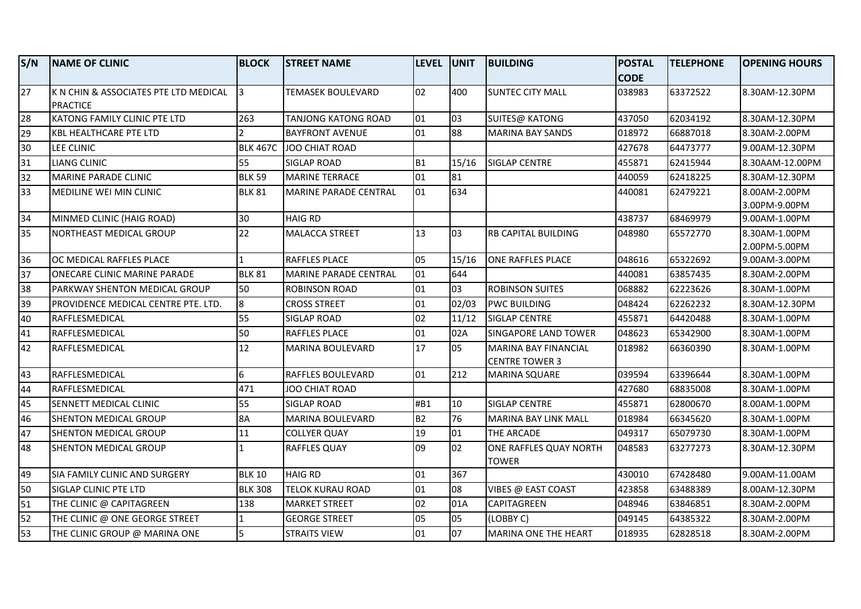| S/N             | <b>INAME OF CLINIC</b>                | <b>BLOCK</b>    | <b>STREET NAME</b>           | <b>LEVEL</b>   | <b>JUNIT</b> | <b>BUILDING</b>             | <b>POSTAL</b> | <b>TELEPHONE</b> | <b>OPENING HOURS</b> |
|-----------------|---------------------------------------|-----------------|------------------------------|----------------|--------------|-----------------------------|---------------|------------------|----------------------|
|                 |                                       |                 |                              |                |              |                             | <b>CODE</b>   |                  |                      |
| $\overline{27}$ | K N CHIN & ASSOCIATES PTE LTD MEDICAL | 13              | TEMASEK BOULEVARD            | 02             | 400          | <b>SUNTEC CITY MALL</b>     | 038983        | 63372522         | 8.30AM-12.30PM       |
|                 | PRACTICE                              |                 |                              |                |              |                             |               |                  |                      |
| 28              | KATONG FAMILY CLINIC PTE LTD          | 263             | <b>TANJONG KATONG ROAD</b>   | 01             | 03           | <b>SUITES@ KATONG</b>       | 437050        | 62034192         | 8.30AM-12.30PM       |
| 29              | <b>KBL HEALTHCARE PTE LTD</b>         |                 | <b>BAYFRONT AVENUE</b>       | 01             | 88           | <b>MARINA BAY SANDS</b>     | 018972        | 66887018         | 8.30AM-2.00PM        |
| 30              | LEE CLINIC                            | <b>BLK 467C</b> | JOO CHIAT ROAD               |                |              |                             | 427678        | 64473777         | 9.00AM-12.30PM       |
| 31              | <b>LIANG CLINIC</b>                   | 55              | <b>SIGLAP ROAD</b>           | B <sub>1</sub> | 15/16        | <b>SIGLAP CENTRE</b>        | 455871        | 62415944         | 8.30AAM-12.00PM      |
| 32              | MARINE PARADE CLINIC                  | <b>BLK 59</b>   | <b>MARINE TERRACE</b>        | 01             | 81           |                             | 440059        | 62418225         | 8.30AM-12.30PM       |
| 33              | <b>MEDILINE WEI MIN CLINIC</b>        | <b>BLK 81</b>   | <b>MARINE PARADE CENTRAL</b> | 01             | 634          |                             | 440081        | 62479221         | 8.00AM-2.00PM        |
|                 |                                       |                 |                              |                |              |                             |               |                  | 3.00PM-9.00PM        |
| 34              | MINMED CLINIC (HAIG ROAD)             | 30              | <b>HAIG RD</b>               |                |              |                             | 438737        | 68469979         | 9.00AM-1.00PM        |
| 35              | NORTHEAST MEDICAL GROUP               | 22              | <b>MALACCA STREET</b>        | 13             | 03           | <b>RB CAPITAL BUILDING</b>  | 048980        | 65572770         | 8.30AM-1.00PM        |
|                 |                                       |                 |                              |                |              |                             |               |                  | 2.00PM-5.00PM        |
| 36              | OC MEDICAL RAFFLES PLACE              | $\mathbf{1}$    | <b>RAFFLES PLACE</b>         | 05             | 15/16        | <b>ONE RAFFLES PLACE</b>    | 048616        | 65322692         | 9.00AM-3.00PM        |
| 37              | ONECARE CLINIC MARINE PARADE          | <b>BLK 81</b>   | MARINE PARADE CENTRAL        | 01             | 644          |                             | 440081        | 63857435         | 8.30AM-2.00PM        |
| 38              | <b>PARKWAY SHENTON MEDICAL GROUP</b>  | 50              | <b>ROBINSON ROAD</b>         | 01             | 03           | <b>ROBINSON SUITES</b>      | 068882        | 62223626         | 8.30AM-1.00PM        |
| 39              | PROVIDENCE MEDICAL CENTRE PTE. LTD.   | 8               | <b>CROSS STREET</b>          | 01             | 02/03        | <b>PWC BUILDING</b>         | 048424        | 62262232         | 8.30AM-12.30PM       |
| 40              | RAFFLESMEDICAL                        | 55              | <b>SIGLAP ROAD</b>           | 02             | 11/12        | <b>SIGLAP CENTRE</b>        | 455871        | 64420488         | 8.30AM-1.00PM        |
| 41              | RAFFLESMEDICAL                        | 50              | <b>RAFFLES PLACE</b>         | 01             | 02A          | <b>SINGAPORE LAND TOWER</b> | 048623        | 65342900         | 8.30AM-1.00PM        |
| 42              | RAFFLESMEDICAL                        | 12              | <b>MARINA BOULEVARD</b>      | 17             | 05           | <b>MARINA BAY FINANCIAL</b> | 018982        | 66360390         | 8.30AM-1.00PM        |
|                 |                                       |                 |                              |                |              | <b>CENTRE TOWER 3</b>       |               |                  |                      |
| 43              | RAFFLESMEDICAL                        | 6               | RAFFLES BOULEVARD            | 01             | 212          | <b>MARINA SQUARE</b>        | 039594        | 63396644         | 8.30AM-1.00PM        |
| 44              | RAFFLESMEDICAL                        | 471             | JOO CHIAT ROAD               |                |              |                             | 427680        | 68835008         | 8.30AM-1.00PM        |
| 45              | SENNETT MEDICAL CLINIC                | 55              | <b>SIGLAP ROAD</b>           | #B1            | 10           | <b>SIGLAP CENTRE</b>        | 455871        | 62800670         | 8.00AM-1.00PM        |
| 46              | <b>SHENTON MEDICAL GROUP</b>          | 8A              | <b>MARINA BOULEVARD</b>      | B <sub>2</sub> | 76           | <b>MARINA BAY LINK MALL</b> | 018984        | 66345620         | 8.30AM-1.00PM        |
| 47              | <b>SHENTON MEDICAL GROUP</b>          | 11              | <b>COLLYER QUAY</b>          | 19             | 01           | THE ARCADE                  | 049317        | 65079730         | 8.30AM-1.00PM        |
| 48              | SHENTON MEDICAL GROUP                 | $\mathbf{1}$    | <b>RAFFLES QUAY</b>          | 09             | 02           | ONE RAFFLES QUAY NORTH      | 048583        | 63277273         | 8.30AM-12.30PM       |
|                 |                                       |                 |                              |                |              | TOWER                       |               |                  |                      |
| 49              | <b>SIA FAMILY CLINIC AND SURGERY</b>  | <b>BLK 10</b>   | <b>HAIG RD</b>               | 01             | 367          |                             | 430010        | 67428480         | 9.00AM-11.00AM       |
| 50              | <b>SIGLAP CLINIC PTE LTD</b>          | <b>BLK 308</b>  | <b>TELOK KURAU ROAD</b>      | 01             | 08           | VIBES @ EAST COAST          | 423858        | 63488389         | 8.00AM-12.30PM       |
| 51              | THE CLINIC @ CAPITAGREEN              | 138             | <b>MARKET STREET</b>         | 02             | 01A          | <b>CAPITAGREEN</b>          | 048946        | 63846851         | 8.30AM-2.00PM        |
| 52              | THE CLINIC @ ONE GEORGE STREET        | $\vert$ 1       | <b>GEORGE STREET</b>         | 05             | 05           | (LOBBY C)                   | 049145        | 64385322         | 8.30AM-2.00PM        |
| 53              | THE CLINIC GROUP @ MARINA ONE         | 5               | <b>STRAITS VIEW</b>          | 01             | 07           | MARINA ONE THE HEART        | 018935        | 62828518         | 8.30AM-2.00PM        |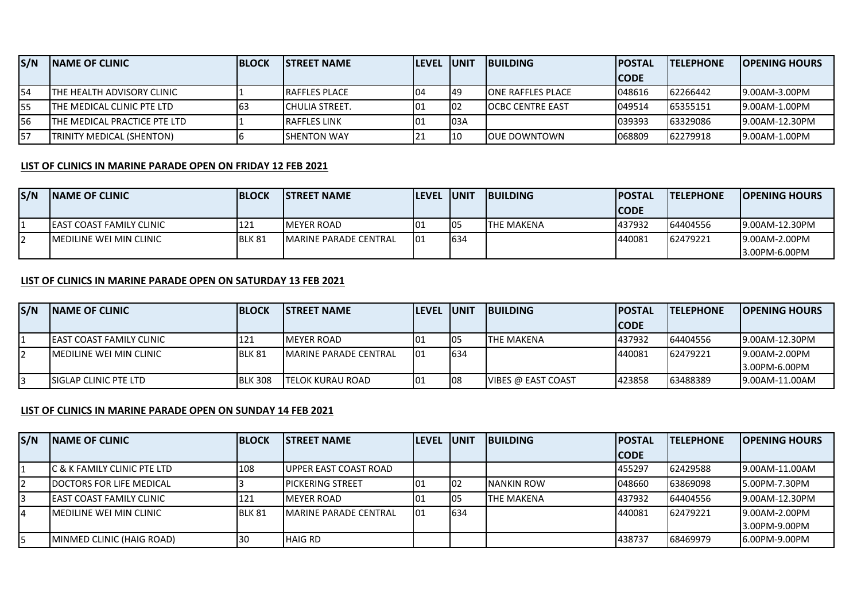| S/N         | <b>INAME OF CLINIC</b>              | <b>IBLOCK</b> | <b>ISTREET NAME</b>   | <b>ILEVEL JUNIT</b> |      | <b>IBUILDING</b>          | <b>IPOSTAL</b> | <b>ITELEPHONE</b> | <b>IOPENING HOURS</b> |
|-------------|-------------------------------------|---------------|-----------------------|---------------------|------|---------------------------|----------------|-------------------|-----------------------|
|             |                                     |               |                       |                     |      |                           | <b>CODE</b>    |                   |                       |
| 154         | <b>ITHE HEALTH ADVISORY CLINIC</b>  |               | <b>IRAFFLES PLACE</b> | 04                  | 149  | <b>IONE RAFFLES PLACE</b> | 048616         | 62266442          | 9.00AM-3.00PM         |
| 155         | <b>ITHE MEDICAL CLINIC PTE LTD</b>  | 163           | ICHULIA STREET.       | IO1                 | 102  | <b>IOCBC CENTRE EAST</b>  | 049514         | 65355151          | 9.00AM-1.00PM         |
| <b>1</b> 56 | <b>THE MEDICAL PRACTICE PTE LTD</b> |               | <b>RAFFLES LINK</b>   |                     | 103A |                           | 039393         | 63329086          | 9.00AM-12.30PM        |
| <b>I</b> 57 | <b>TRINITY MEDICAL (SHENTON)</b>    |               | <b>SHENTON WAY</b>    | 21                  | 10   | <b>JOUE DOWNTOWN</b>      | 068809         | 62279918          | 19.00AM-1.00PM        |

## **LIST OF CLINICS IN MARINE PARADE OPEN ON FRIDAY 12 FEB 2021**

| S/N | <b>INAME OF CLINIC</b>           | <b>BLOCK</b> | <b>ISTREET NAME</b>           | <b>ILEVEL IUNIT</b> |     | <b>IBUILDING</b>  | <b>IPOSTAL</b> | <b>ITELEPHONE</b> | <b>IOPENING HOURS</b> |
|-----|----------------------------------|--------------|-------------------------------|---------------------|-----|-------------------|----------------|-------------------|-----------------------|
|     |                                  |              |                               |                     |     |                   | <b>ICODE</b>   |                   |                       |
|     | <b>LEAST COAST FAMILY CLINIC</b> | 121          | <b>IMEYER ROAD</b>            | 101                 | 105 | <b>THE MAKENA</b> | 437932         | 64404556          | 9.00AM-12.30PM        |
|     | <b>IMEDILINE WEI MIN CLINIC</b>  | BLK 81       | <b>IMARINE PARADE CENTRAL</b> | 101                 | 634 |                   | 440081         | 62479221          | 9.00AM-2.00PM         |
|     |                                  |              |                               |                     |     |                   |                |                   | 3.00PM-6.00PM         |

## **LIST OF CLINICS IN MARINE PARADE OPEN ON SATURDAY 13 FEB 2021**

| S/N | <b>INAME OF CLINIC</b>           | <b>IBLOCK</b>  | <b>ISTREET NAME</b>           | <b>ILEVEL JUNIT</b> |     | <b>IBUILDING</b>          | <b>IPOSTAL</b> | <b>ITELEPHONE</b> | <b>IOPENING HOURS</b> |
|-----|----------------------------------|----------------|-------------------------------|---------------------|-----|---------------------------|----------------|-------------------|-----------------------|
|     |                                  |                |                               |                     |     |                           | <b>ICODE</b>   |                   |                       |
|     | <b>LEAST COAST FAMILY CLINIC</b> | 121            | <b>IMEYER ROAD</b>            | 101                 | 05  | ITHE MAKENA               | 437932         | 64404556          | 9.00AM-12.30PM        |
|     | IMEDILINE WEI MIN CLINIC         | BLK 81         | <b>IMARINE PARADE CENTRAL</b> | <b>101</b>          | 634 |                           | 440081         | 62479221          | 19.00AM-2.00PM        |
|     |                                  |                |                               |                     |     |                           |                |                   | 13.00PM-6.00PM        |
|     | ISIGLAP CLINIC PTE LTD           | <b>BLK 308</b> | <b>ITELOK KURAU ROAD</b>      | 01                  | 108 | <b>VIBES @ EAST COAST</b> | 423858         | 63488389          | 19.00AM-11.00AM       |

## **LIST OF CLINICS IN MARINE PARADE OPEN ON SUNDAY 14 FEB 2021**

| S/N | <b>INAME OF CLINIC</b>           | <b>BLOCK</b> | <b>ISTREET NAME</b>           | <b>LEVEL UNIT</b> |     | <b>IBUILDING</b>   | <b>POSTAL</b> | <b>TELEPHONE</b> | <b>IOPENING HOURS</b> |
|-----|----------------------------------|--------------|-------------------------------|-------------------|-----|--------------------|---------------|------------------|-----------------------|
|     |                                  |              |                               |                   |     |                    | <b>CODE</b>   |                  |                       |
|     | C & K FAMILY CLINIC PTE LTD      | 108          | UPPER EAST COAST ROAD         |                   |     |                    | 455297        | 62429588         | 9.00AM-11.00AM        |
|     | IDOCTORS FOR LIFE MEDICAL        |              | <b>IPICKERING STREET</b>      | 101               | 102 | <b>INANKIN ROW</b> | 048660        | 63869098         | 5.00PM-7.30PM         |
|     | <b>JEAST COAST FAMILY CLINIC</b> | 121          | <b>IMEYER ROAD</b>            | 101               | 105 | <b>THE MAKENA</b>  | 437932        | 64404556         | 9.00AM-12.30PM        |
|     | <b>IMEDILINE WEI MIN CLINIC</b>  | BLK 81       | <b>IMARINE PARADE CENTRAL</b> | 101               | 634 |                    | 440081        | 62479221         | 9.00AM-2.00PM         |
|     |                                  |              |                               |                   |     |                    |               |                  | 3.00PM-9.00PM         |
|     | MINMED CLINIC (HAIG ROAD)        | 30           | <b>HAIG RD</b>                |                   |     |                    | 438737        | 68469979         | 6.00PM-9.00PM         |